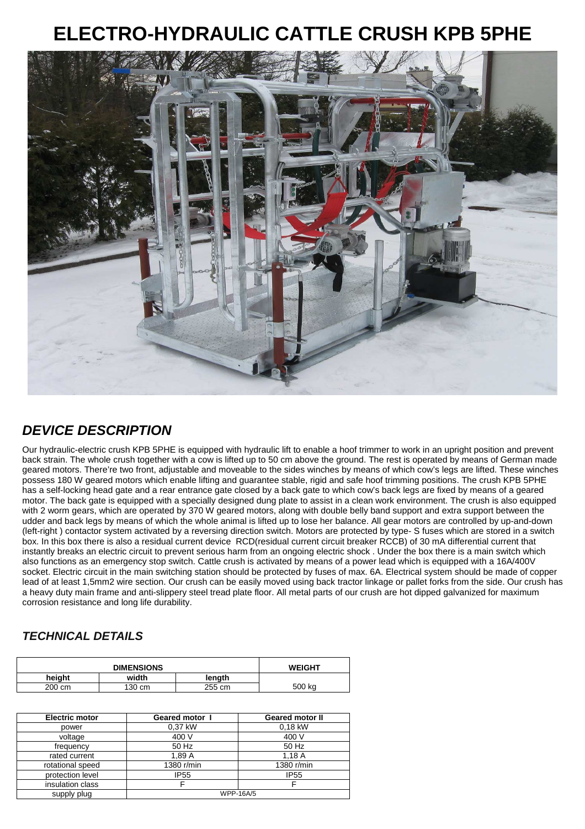## **ELECTRO-HYDRAULIC CATTLE CRUSH KPB 5PHE**



## **DEVICE DESCRIPTION**

Our hydraulic-electric crush KPB 5PHE is equipped with hydraulic lift to enable a hoof trimmer to work in an upright position and prevent back strain. The whole crush together with a cow is lifted up to 50 cm above the ground. The rest is operated by means of German made geared motors. There're two front, adjustable and moveable to the sides winches by means of which cow's legs are lifted. These winches possess 180 W geared motors which enable lifting and guarantee stable, rigid and safe hoof trimming positions. The crush KPB 5PHE has a self-locking head gate and a rear entrance gate closed by a back gate to which cow's back legs are fixed by means of a geared motor. The back gate is equipped with a specially designed dung plate to assist in a clean work environment. The crush is also equipped with 2 worm gears, which are operated by 370 W geared motors, along with double belly band support and extra support between the udder and back legs by means of which the whole animal is lifted up to lose her balance. All gear motors are controlled by up-and-down (left-right ) contactor system activated by a reversing direction switch. Motors are protected by type- S fuses which are stored in a switch box. In this box there is also a residual current device RCD(residual current circuit breaker RCCB) of 30 mA differential current that instantly breaks an electric circuit to prevent serious harm from an ongoing electric shock . Under the box there is a main switch which also functions as an emergency stop switch. Cattle crush is activated by means of a power lead which is equipped with a 16A/400V socket. Electric circuit in the main switching station should be protected by fuses of max. 6A. Electrical system should be made of copper lead of at least 1,5mm2 wire section. Our crush can be easily moved using back tractor linkage or pallet forks from the side. Our crush has a heavy duty main frame and anti-slippery steel tread plate floor. All metal parts of our crush are hot dipped galvanized for maximum corrosion resistance and long life durability.

## **TECHNICAL DETAILS**

| <b>DIMENSIONS</b> |        |        | <b>WEIGHT</b> |
|-------------------|--------|--------|---------------|
| heiaht            | width  | lenath |               |
| 200 cm            | 130 cm | 255 cm | 500 kg        |

| <b>Electric motor</b> | Geared motor I   | <b>Geared motor II</b> |
|-----------------------|------------------|------------------------|
| power                 | 0.37 kW          | 0,18 kW                |
| voltage               | 400 V            | 400 V                  |
| frequency             | 50 Hz            | 50 Hz                  |
| rated current         | 1.89 A           | 1.18A                  |
| rotational speed      | 1380 r/min       | 1380 r/min             |
| protection level      | <b>IP55</b>      | <b>IP55</b>            |
| insulation class      |                  |                        |
| supply plug           | <b>WPP-16A/5</b> |                        |